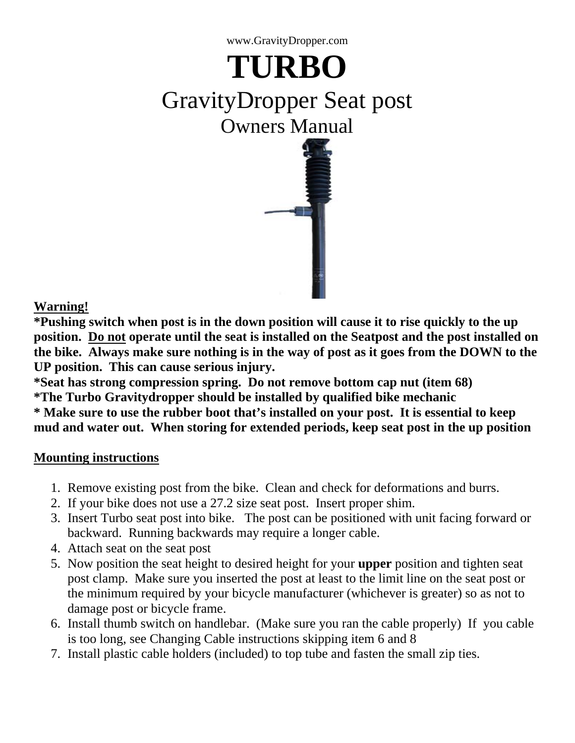

# **TURBO** GravityDropper Seat post Owners Manual



**Warning!**

**\*Pushing switch when post is in the down position will cause it to rise quickly to the up position. Do not operate until the seat is installed on the Seatpost and the post installed on the bike. Always make sure nothing is in the way of post as it goes from the DOWN to the UP position. This can cause serious injury.**

**\*Seat has strong compression spring. Do not remove bottom cap nut (item 68) \*The Turbo Gravitydropper should be installed by qualified bike mechanic \* Make sure to use the rubber boot that's installed on your post. It is essential to keep mud and water out. When storing for extended periods, keep seat post in the up position**

# **Mounting instructions**

- 1. Remove existing post from the bike. Clean and check for deformations and burrs.
- 2. If your bike does not use a 27.2 size seat post. Insert proper shim.
- 3. Insert Turbo seat post into bike. The post can be positioned with unit facing forward or backward. Running backwards may require a longer cable.
- 4. Attach seat on the seat post
- 5. Now position the seat height to desired height for your **upper** position and tighten seat post clamp. Make sure you inserted the post at least to the limit line on the seat post or the minimum required by your bicycle manufacturer (whichever is greater) so as not to damage post or bicycle frame.
- 6. Install thumb switch on handlebar. (Make sure you ran the cable properly) If you cable is too long, see Changing Cable instructions skipping item 6 and 8
- 7. Install plastic cable holders (included) to top tube and fasten the small zip ties.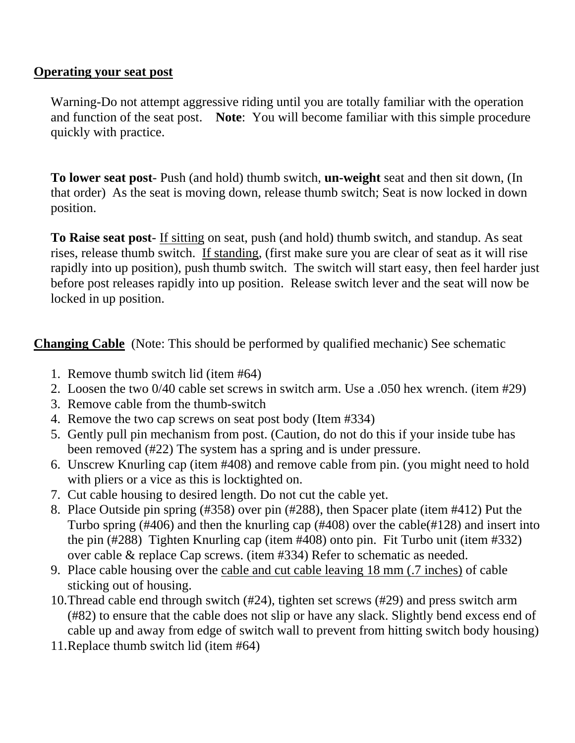#### **Operating your seat post**

Warning-Do not attempt aggressive riding until you are totally familiar with the operation and function of the seat post. **Note**: You will become familiar with this simple procedure quickly with practice.

**To lower seat post**- Push (and hold) thumb switch, **un-weight** seat and then sit down, (In that order) As the seat is moving down, release thumb switch; Seat is now locked in down position.

**To Raise seat post**- If sitting on seat, push (and hold) thumb switch, and standup. As seat rises, release thumb switch. If standing, (first make sure you are clear of seat as it will rise rapidly into up position), push thumb switch. The switch will start easy, then feel harder just before post releases rapidly into up position. Release switch lever and the seat will now be locked in up position.

**Changing Cable** (Note: This should be performed by qualified mechanic) See schematic

- 1. Remove thumb switch lid (item #64)
- 2. Loosen the two 0/40 cable set screws in switch arm. Use a .050 hex wrench. (item #29)
- 3. Remove cable from the thumb-switch
- 4. Remove the two cap screws on seat post body (Item #334)
- 5. Gently pull pin mechanism from post. (Caution, do not do this if your inside tube has been removed (#22) The system has a spring and is under pressure.
- 6. Unscrew Knurling cap (item #408) and remove cable from pin. (you might need to hold with pliers or a vice as this is locktighted on.
- 7. Cut cable housing to desired length. Do not cut the cable yet.
- 8. Place Outside pin spring (#358) over pin (#288), then Spacer plate (item #412) Put the Turbo spring (#406) and then the knurling cap (#408) over the cable(#128) and insert into the pin (#288) Tighten Knurling cap (item #408) onto pin. Fit Turbo unit (item #332) over cable & replace Cap screws. (item #334) Refer to schematic as needed.
- 9. Place cable housing over the cable and cut cable leaving 18 mm (.7 inches) of cable sticking out of housing.
- 10.Thread cable end through switch (#24), tighten set screws (#29) and press switch arm (#82) to ensure that the cable does not slip or have any slack. Slightly bend excess end of cable up and away from edge of switch wall to prevent from hitting switch body housing)
- 11.Replace thumb switch lid (item #64)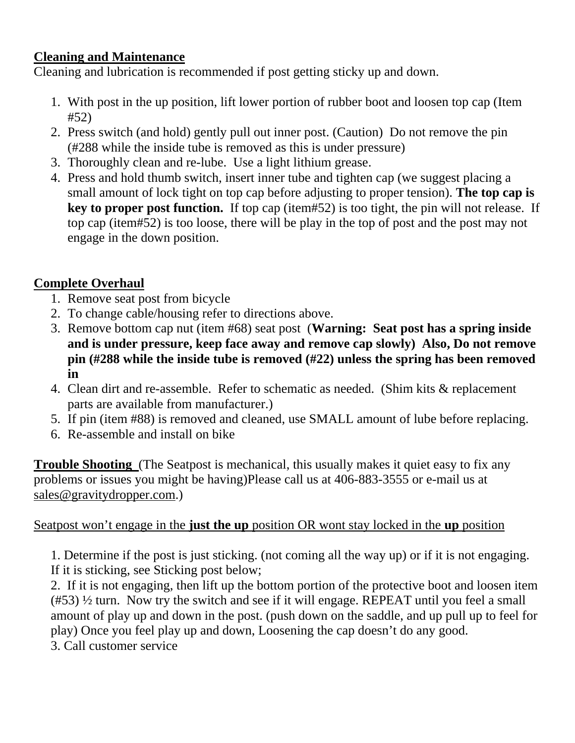## **Cleaning and Maintenance**

Cleaning and lubrication is recommended if post getting sticky up and down.

- 1. With post in the up position, lift lower portion of rubber boot and loosen top cap (Item #52)
- 2. Press switch (and hold) gently pull out inner post. (Caution) Do not remove the pin (#288 while the inside tube is removed as this is under pressure)
- 3. Thoroughly clean and re-lube. Use a light lithium grease.
- 4. Press and hold thumb switch, insert inner tube and tighten cap (we suggest placing a small amount of lock tight on top cap before adjusting to proper tension). **The top cap is key to proper post function.** If top cap (item#52) is too tight, the pin will not release. If top cap (item#52) is too loose, there will be play in the top of post and the post may not engage in the down position.

# **Complete Overhaul**

- 1. Remove seat post from bicycle
- 2. To change cable/housing refer to directions above.
- 3. Remove bottom cap nut (item #68) seat post (**Warning: Seat post has a spring inside and is under pressure, keep face away and remove cap slowly) Also, Do not remove pin (#288 while the inside tube is removed (#22) unless the spring has been removed in**
- 4. Clean dirt and re-assemble. Refer to schematic as needed. (Shim kits & replacement parts are available from manufacturer.)
- 5. If pin (item #88) is removed and cleaned, use SMALL amount of lube before replacing.
- 6. Re-assemble and install on bike

**Trouble Shooting** (The Seatpost is mechanical, this usually makes it quiet easy to fix any problems or issues you might be having)Please call us at 406-883-3555 or e-mail us at sales@gravitydropper.com.)

# Seatpost won't engage in the **just the up** position OR wont stay locked in the **up** position

1. Determine if the post is just sticking. (not coming all the way up) or if it is not engaging. If it is sticking, see Sticking post below;

2. If it is not engaging, then lift up the bottom portion of the protective boot and loosen item  $(#53)$   $\frac{1}{2}$  turn. Now try the switch and see if it will engage. REPEAT until you feel a small amount of play up and down in the post. (push down on the saddle, and up pull up to feel for play) Once you feel play up and down, Loosening the cap doesn't do any good.

3. Call customer service